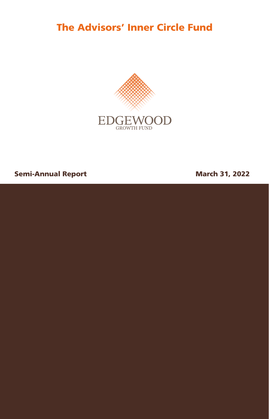The Advisors' Inner Circle Fund



# Semi-Annual Report **March 31, 2022**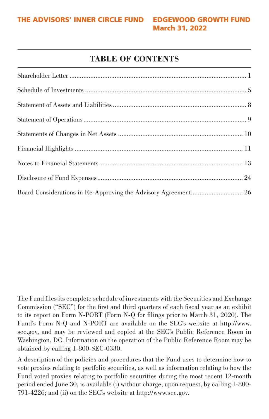# **TABLE OF CONTENTS**

The Fund files its complete schedule of investments with the Securities and Exchange Commission ("SEC") for the first and third quarters of each fiscal year as an exhibit to its report on Form N-PORT (Form N-Q for filings prior to March 31, 2020). The Fund's Form N-Q and N-PORT are available on the SEC's website at http://www. sec.gov, and may be reviewed and copied at the SEC's Public Reference Room in Washington, DC. Information on the operation of the Public Reference Room may be obtained by calling 1-800-SEC-0330.

A description of the policies and procedures that the Fund uses to determine how to vote proxies relating to portfolio securities, as well as information relating to how the Fund voted proxies relating to portfolio securities during the most recent 12-month period ended June 30, is available (i) without charge, upon request, by calling 1-800- 791-4226; and (ii) on the SEC's website at http://www.sec.gov.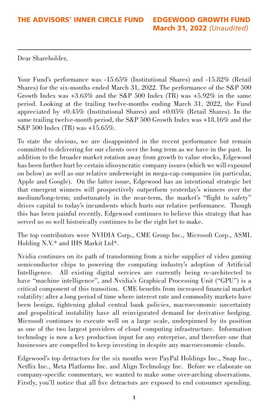Dear Shareholder,

Your Fund's performance was  $-15.65\%$  (Institutional Shares) and  $-15.82\%$  (Retail Shares) for the six-months ended March 31, 2022. The performance of the S&P 500 Growth Index was  $+3.63\%$  and the S&P 500 Index (TR) was  $+5.92\%$  in the same period. Looking at the trailing twelve-months ending March 31, 2022, the Fund appreciated by +0.45% (Institutional Shares) and +0.05% (Retail Shares). In the same trailing twelve-month period, the S&P 500 Growth Index was +18.16% and the S&P 500 Index (TR) was +15.65%.

To state the obvious, we are disappointed in the recent performance but remain committed to delivering for our clients over the long term as we have in the past. In addition to the broader market rotation away from growth to value stocks, Edgewood has been further hurt by certain idiosyncratic company issues (which we will expound on below) as well as our relative underweight in mega-cap companies (in particular, Apple and Google). On the latter issue, Edgewood has an intentional strategic bet that emergent winners will prospectively outperform yesterday's winners over the medium/long-term; unfortunately in the near-term, the market's "flight to safety" drives capital to today's incumbents which hurts our relative performance. Though this has been painful recently, Edgewood continues to believe this strategy that has served us so well historically continues to be the right bet to make.

The top contributors were NVIDIA Corp., CME Group Inc., Microsoft Corp., ASML Holding N.V.\* and IHS Markit Ltd\*.

Nvidia continues on its path of transforming from a niche supplier of video gaming semiconductor chips to powering the computing industry's adoption of Artificial Intelligence. All existing digital services are currently being re-architected to have "machine intelligence", and Nvidia's Graphical Processing Unit ("GPU") is a critical component of this transition. CME benefits from increased financial market volatility: after a long period of time where interest rate and commodity markets have been benign, tightening global central bank policies, macroeconomic uncertainty and geopolitical instability have all reinvigorated demand for derivative hedging. Microsoft continues to execute well on a large scale, underpinned by its position as one of the two largest providers of cloud computing infrastructure. Information technology is now a key production input for any enterprise, and therefore one that businesses are compelled to keep investing in despite any macroeconomic clouds.

Edgewood's top detractors for the six months were PayPal Holdings Inc., Snap Inc., Netflix Inc., Meta Platforms Inc. and Align Technology Inc. Before we elaborate on company-specific commentary, we wanted to make some over-arching observations. Firstly, you'll notice that all five detractors are exposed to end consumer spending.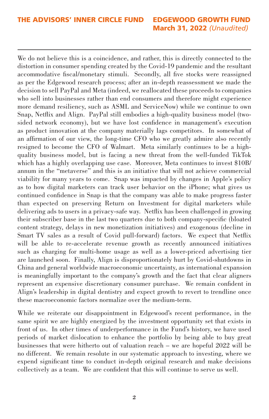We do not believe this is a coincidence, and rather, this is directly connected to the distortion in consumer spending created by the Covid-19 pandemic and the resultant accommodative fiscal/monetary stimuli. Secondly, all five stocks were reassigned as per the Edgewood research process; after an in-depth reassessment we made the decision to sell PayPal and Meta (indeed, we reallocated these proceeds to companies who sell into businesses rather than end consumers and therefore might experience more demand resiliency, such as ASML and ServiceNow) while we continue to own Snap, Netflix and Align. PayPal still embodies a high-quality business model (twosided network economy), but we have lost confidence in management's execution as product innovation at the company materially lags competitors. In somewhat of an affirmation of our view, the long-time CFO who we greatly admire also recently resigned to become the CFO of Walmart. Meta similarly continues to be a highquality business model, but is facing a new threat from the well-funded TikTok which has a highly overlapping use case. Moreover, Meta continues to invest \$10B/ annum in the "metaverse" and this is an initiative that will not achieve commercial viability for many years to come. Snap was impacted by changes in Apple's policy as to how digital marketers can track user behavior on the iPhone; what gives us continued confidence in Snap is that the company was able to make progress faster than expected on preserving Return on Investment for digital marketers while delivering ads to users in a privacy-safe way. Netflix has been challenged in growing their subscriber base in the last two quarters due to both company-specific (bloated content strategy, delays in new monetization initiatives) and exogenous (decline in Smart TV sales as a result of Covid pull-forward) factors. We expect that Netflix will be able to re-accelerate revenue growth as recently announced initiatives such as charging for multi-home usage as well as a lower-priced advertising tier are launched soon. Finally, Align is disproportionately hurt by Covid-shutdowns in China and general worldwide macroeconomic uncertainty, as international expansion is meaningfully important to the company's growth and the fact that clear aligners represent an expensive discretionary consumer purchase. We remain confident in Align's leadership in digital dentistry and expect growth to revert to trendline once these macroeconomic factors normalize over the medium-term.

While we reiterate our disappointment in Edgewood's recent performance, in the same spirit we are highly energized by the investment opportunity set that exists in front of us. In other times of underperformance in the Fund's history, we have used periods of market dislocation to enhance the portfolio by being able to buy great businesses that were hitherto out of valuation reach – we are hopeful 2022 will be no different. We remain resolute in our systematic approach to investing, where we expend significant time to conduct in-depth original research and make decisions collectively as a team. We are confident that this will continue to serve us well.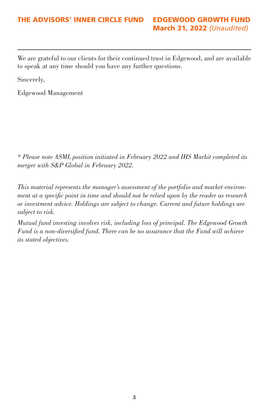# THE ADVISORS' INNER CIRCLE FUND EDGEWOOD GROWTH FUND March 31, 2022 *(Unaudited)*

We are grateful to our clients for their continued trust in Edgewood, and are available to speak at any time should you have any further questions.

Sincerely,

Edgewood Management

*\* Please note ASML position initiated in February 2022 and IHS Markit completed its merger with S&P Global in February 2022.* 

*This material represents the manager's assessment of the portfolio and market environment at a specific point in time and should not be relied upon by the reader as research or investment advice. Holdings are subject to change. Current and future holdings are subject to risk.* 

*Mutual fund investing involves risk, including loss of principal. The Edgewood Growth Fund is a non-diversified fund. There can be no assurance that the Fund will achieve its stated objectives.*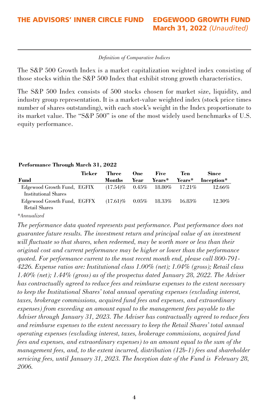#### *Definition of Comparative Indices*

The S&P 500 Growth Index is a market capitalization weighted index consisting of those stocks within the S&P 500 Index that exhibit strong growth characteristics.

The S&P 500 Index consists of 500 stocks chosen for market size, liquidity, and industry group representation. It is a market-value weighted index (stock price times number of shares outstanding), with each stock's weight in the Index proportionate to its market value. The "S&P 500" is one of the most widely used benchmarks of U.S. equity performance.

#### **Performance Through March 31, 2022**

|                                                     | Ticker | Three                    | One      | Five      | Ten.      | Since      |
|-----------------------------------------------------|--------|--------------------------|----------|-----------|-----------|------------|
| Fund                                                |        | Months                   | Year     | Years*    | Years*    | Inception* |
| Edgewood Growth Fund, EGFIX<br>Institutional Shares |        | $(17.54)\%$              | $0.45\%$ | $18.80\%$ | $17.21\%$ | 12.66%     |
| Edgewood Growth Fund, EGFFX<br>Retail Shares        |        | $(17.61)\%$ 0.05% 18.33% |          |           | $16.83\%$ | 12.30%     |

*\*Annualized*

*The performance data quoted represents past performance. Past performance does not guarantee future results. The investment return and principal value of an investment will fluctuate so that shares, when redeemed, may be worth more or less than their original cost and current performance may be higher or lower than the performance quoted. For performance current to the most recent month end, please call 800-791- 4226. Expense ratios are: Institutional class 1.00% (net); 1.04% (gross); Retail class 1.40% (net); 1.44% (gross) as of the prospectus dated January 28, 2022. The Adviser has contractually agreed to reduce fees and reimburse expenses to the extent necessary to keep the Institutional Shares' total annual operating expenses (excluding interest, taxes, brokerage commissions, acquired fund fees and expenses, and extraordinary expenses) from exceeding an amount equal to the management fees payable to the Adviser through January 31, 2023. The Adviser has contractually agreed to reduce fees and reimburse expenses to the extent necessary to keep the Retail Shares' total annual operating expenses (excluding interest, taxes, brokerage commissions, acquired fund fees and expenses, and extraordinary expenses) to an amount equal to the sum of the management fees, and, to the extent incurred, distribution (12b-1) fees and shareholder servicing fees, until January 31, 2023. The Inception date of the Fund is February 28, 2006.*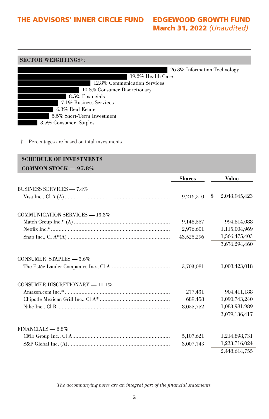# March 31, 2022 *(Unaudited)*

#### **SECTOR WEIGHTINGS†:**

|                              | 26.3% Information Technology |
|------------------------------|------------------------------|
| 19.2% Health Care            |                              |
| 12.8% Communication Services |                              |
| 10.8% Consumer Discretionary |                              |
| 8.5% Financials              |                              |
| 7.1% Business Services       |                              |
| 6.3% Real Estate             |                              |
| 5.5% Short-Term Investment   |                              |
| 3.5% Consumer Staples        |                              |
|                              |                              |

† Percentages are based on total investments.

# **SCHEDULE OF INVESTMENTS COMMON STOCK — 97.8% Shares Value** BUSINESS SERVICES **—** 7.4% Visa Inc., Cl A (A) ..................................................................... 9,216,510 \$ 2,043,945,423 COMMUNICATION SERVICES **—** 13.3% Match Group Inc.\* (A) ............................................................... 9,148,557 994,814,088 Netflix Inc.\*.............................................................................. 2,976,601 1,115,004,969 Snap Inc., Cl A\*(A) ................................................................... 43,525,296 1,566,475,403 3,676,294,460 CONSUMER STAPLES **—** 3.6% The Estée Lauder Companies Inc., Cl A ...................................... 3,703,081 1,008,423,018 CONSUMER DISCRETIONARY **—** 11.1% Amazon.com Inc.\* ..................................................................... 277,431 904,411,188 Chipotle Mexican Grill Inc., Cl A\* .............................................. 689,458 1,090,743,240 Nike Inc., Cl B ......................................................................... 8,055,752 1,083,981,989 3,079,136,417 FINANCIALS **—** 8.8% CME Group Inc., Cl A................................................................ 5,107,621 1,214,898,731 S&P Global Inc. (A)................................................................... 3,007,743 1,233,716,024 2,448,614,755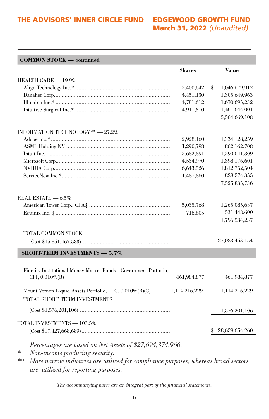# March 31, 2022 *(Unaudited)*

|                                                                                            | <b>Shares</b> | <b>Value</b>                   |
|--------------------------------------------------------------------------------------------|---------------|--------------------------------|
| HEALTH CARE - 19.9%                                                                        |               |                                |
|                                                                                            | 2,400,642     | \$                             |
|                                                                                            | 4,451,130     | 1,046,679,912<br>1,305,649,963 |
|                                                                                            | 4,781,612     | 1,670,695,232                  |
|                                                                                            | 4,911,310     | 1,481,644,001                  |
|                                                                                            |               | 5,504,669,108                  |
|                                                                                            |               |                                |
| INFORMATION TECHNOLOGY**-27.2%                                                             |               |                                |
|                                                                                            | 2,928,160     | 1,334,128,259                  |
|                                                                                            | 1,290,798     | 862,162,708                    |
|                                                                                            | 2,682,891     | 1,290,041,309                  |
|                                                                                            | 4,534,970     | 1,398,176,601                  |
|                                                                                            | 6,643,526     | 1,812,752,504                  |
|                                                                                            | 1,487,860     | 828,574,355                    |
|                                                                                            |               | 7,525,835,736                  |
|                                                                                            |               |                                |
| REAL ESTATE - 6.5%                                                                         |               |                                |
|                                                                                            | 5,035,768     | 1,265,085,637                  |
|                                                                                            | 716,605       | 531,448,600                    |
|                                                                                            |               | 1,796,534,237                  |
| TOTAL COMMON STOCK                                                                         |               |                                |
|                                                                                            |               | 27,083,453,154                 |
| <b>SHORT-TERM INVESTMENTS - 5.7%</b>                                                       |               |                                |
|                                                                                            |               |                                |
| Fidelity Institutional Money Market Funds - Government Portfolio,                          |               |                                |
| Cl I, $0.010\%$ (B)                                                                        | 461,984,877   | 461,984,877                    |
|                                                                                            |               |                                |
| Mount Vernon Liquid Assets Portfolio, LLC, 0.010%(B)(C)                                    | 1,114,216,229 | 1,114,216,229                  |
| TOTAL SHORT-TERM INVESTMENTS                                                               |               |                                |
|                                                                                            |               |                                |
|                                                                                            |               | 1,576,201,106                  |
| TOTAL INVESTMENTS - 103.5%                                                                 |               |                                |
|                                                                                            |               | 28,659,654,260                 |
|                                                                                            |               |                                |
| Percentages are based on Net Assets of \$27,694,374,966.                                   |               |                                |
| ∗<br>Non-income producing security.                                                        |               |                                |
| $**$<br>More narrow industries are utilized for compliance purposes, whereas broad sectors |               |                                |

*are utilized for reporting purposes.*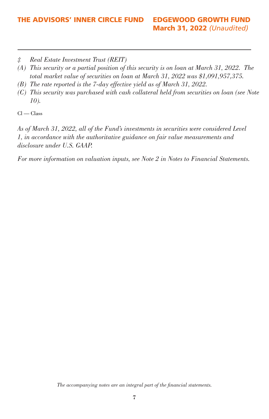*‡ Real Estate Investment Trust (REIT)*

- *(A) This security or a partial position of this security is on loan at March 31, 2022. The total market value of securities on loan at March 31, 2022 was \$1,091,957,375.*
- *(B) The rate reported is the 7-day effective yield as of March 31, 2022.*
- *(C) This security was purchased with cash collateral held from securities on loan (see Note 10).*

Cl — Class

*As of March 31, 2022, all of the Fund's investments in securities were considered Level 1, in accordance with the authoritative guidance on fair value measurements and disclosure under U.S. GAAP.*

*For more information on valuation inputs, see Note 2 in Notes to Financial Statements.*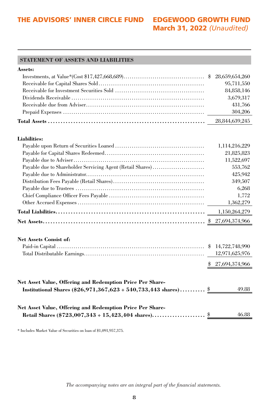# March 31, 2022 *(Unaudited)*

#### **STATEMENT OF ASSETS AND LIABILITIES**

#### **Assets:**

|  | 95,711,550 |
|--|------------|
|  | 84,858,146 |
|  | 3,679,317  |
|  | 431,766    |
|  | 304,206    |
|  |            |

#### **Liabilities:**

|                                                                                                                                     | 1,114,216,229                                        |
|-------------------------------------------------------------------------------------------------------------------------------------|------------------------------------------------------|
|                                                                                                                                     | 21,825,823                                           |
|                                                                                                                                     | 11,522,697                                           |
| Payable due to Shareholder Servicing Agent (Retail Shares)                                                                          | 553,762                                              |
|                                                                                                                                     | 425,942                                              |
|                                                                                                                                     | 349,507                                              |
|                                                                                                                                     | 6,268                                                |
|                                                                                                                                     | 1,772                                                |
|                                                                                                                                     | 1,362,279                                            |
|                                                                                                                                     | 1,150,264,279                                        |
|                                                                                                                                     |                                                      |
| <b>Net Assets Consist of:</b>                                                                                                       | 14,722,748,990<br>12,971,625,976<br>\$27,694,374,966 |
| Net Asset Value, Offering and Redemption Price Per Share-<br>Institutional Shares $(\$26,971,367,623 \div 540,733,443$ shares) $\$$ | 49.88                                                |
| Net Asset Value, Offering and Redemption Price Per Share-                                                                           |                                                      |
|                                                                                                                                     | 46.88                                                |

\* Includes Market Value of Securities on loan of \$1,091,957,375.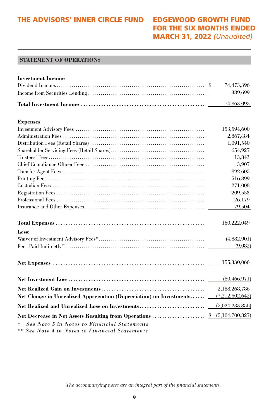# FOR THE SIX MONTHS ENDED MARCH 31, 2022 *(Unaudited)*

#### **STATEMENT OF OPERATIONS**

| <b>Investment Income</b>                                            |                    |
|---------------------------------------------------------------------|--------------------|
|                                                                     | 74,473,396         |
|                                                                     | 389,699            |
|                                                                     | 74,863,095         |
| <b>Expenses</b>                                                     |                    |
|                                                                     | 153,594,600        |
|                                                                     | 2,867,484          |
|                                                                     | 1,091,540          |
|                                                                     | 654,927            |
|                                                                     | 13,843             |
|                                                                     | 3,907              |
|                                                                     | 892,605            |
|                                                                     | 516,899            |
|                                                                     | 271,008            |
|                                                                     | 209,553            |
|                                                                     | 26,179             |
|                                                                     | 79,504             |
|                                                                     | 160,222,049        |
| Less:                                                               |                    |
|                                                                     | (4,882,901)        |
|                                                                     | (9,082)            |
|                                                                     | 155,330,066        |
|                                                                     | (80, 466, 971)     |
|                                                                     | 2,188,268,786      |
| Net Change in Unrealized Appreciation (Depreciation) on Investments | (7, 212, 502, 642) |
|                                                                     |                    |
| Net Realized and Unrealized Loss on Investments                     | (5,024,233,856)    |
|                                                                     | (5,104,700,827)    |
| See Note 5 in Notes to Financial Statements                         |                    |

*\*\* See Note 4 in Notes to Financial Statements*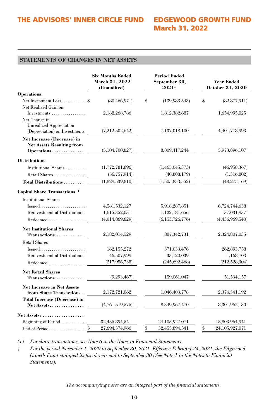# March 31, 2022

#### **STATEMENTS OF CHANGES IN NET ASSETS**

|                                                                                  | <b>Six Months Ended</b><br>March 31, 2022<br>(Unaudited) | <b>Period Ended</b><br>September 30,<br>$2021+$ | <b>Year Ended</b><br>October 31, 2020 |
|----------------------------------------------------------------------------------|----------------------------------------------------------|-------------------------------------------------|---------------------------------------|
| Operations:                                                                      |                                                          |                                                 |                                       |
| Net Investment Loss \$                                                           | (80, 466, 971)                                           | \$<br>(139,983,543)                             | \$<br>(82, 877, 911)                  |
| Net Realized Gain on<br>Investments                                              | 2,188,268,786                                            | 1,812,382,687                                   | 1,654,995,025                         |
| Net Change in<br><b>Unrealized Appreciation</b><br>(Depreciation) on Investments | (7,212,502,642)                                          | 7,137,018,100                                   | 4,401,778,993                         |
| <b>Net Increase (Decrease) in</b><br><b>Net Assets Resulting from</b>            |                                                          |                                                 |                                       |
| Operations                                                                       | (5,104,700,827)                                          | 8,809,417,244                                   | 5,973,896,107                         |
| <b>Distributions</b>                                                             |                                                          |                                                 |                                       |
| Institutional Shares                                                             | (1,772,781,896)                                          | (1,465,045,373)                                 | (46,958,367)                          |
|                                                                                  | (56, 757, 914)                                           | (40,808,179)                                    | (1,316,802)                           |
| Total Distributions                                                              | (1,829,539,810)                                          | (1,505,853,552)                                 | (48, 275, 169)                        |
| Capital Share Transactions:(1)                                                   |                                                          |                                                 |                                       |
| <b>Institutional Shares</b>                                                      |                                                          |                                                 |                                       |
| Issued                                                                           | 4,581,532,127                                            | 5,918,287,851                                   | 6,724,744,638                         |
| <b>Reinvestment of Distributions</b>                                             | 1,615,352,031                                            | 1,122,781,656                                   | 37,031,937                            |
| Redeemed                                                                         | (4,014,869,629)                                          | (6, 153, 726, 776)                              | (4,436,969,540)                       |
| <b>Net Institutional Shares</b>                                                  |                                                          |                                                 |                                       |
| Transactions                                                                     | 2,182,014,529                                            | 887, 342, 731                                   | 2,324,807,035                         |
| <b>Retail Shares</b>                                                             |                                                          |                                                 |                                       |
| $Issued$                                                                         | 162, 155, 272                                            | 371,033,476                                     | 262,893,758                           |
| <b>Reinvestment of Distributions</b>                                             | 46,507,999                                               | 33,720,039                                      | 1,168,703                             |
| Redeemed                                                                         | (217, 956, 738)                                          | (245, 692, 468)                                 | (212, 528, 304)                       |
| <b>Net Retail Shares</b>                                                         |                                                          |                                                 |                                       |
| Transactions                                                                     | (9,293,467)                                              | 159,061,047                                     | 51,534,157                            |
| <b>Net Increase in Net Assets</b><br>from Share Transactions.                    | 2,172,721,062                                            | 1,046,403,778                                   | 2,376,341,192                         |
| <b>Total Increase (Decrease) in</b>                                              |                                                          |                                                 |                                       |
| Net Assets                                                                       | (4,761,519,575)                                          | 8,349,967,470                                   | 8,301,962,130                         |
| Net Assets:                                                                      |                                                          |                                                 |                                       |
| Beginning of Period                                                              | 32,455,894,541                                           | 24,105,927,071                                  | 15,803,964,941                        |
| \$<br>End of Period                                                              | 27,694,374,966                                           | \$<br>32,455,894,541                            | \$<br>24,105,927,071                  |

*(1) For share transactions, see Note 6 in the Notes to Financial Statements.*

*† For the period November 1, 2020 to September 30, 2021. Effective February 24, 2021, the Edgewood Growth Fund changed its fiscal year end to September 30 (See Note 1 in the Notes to Financial Statements).*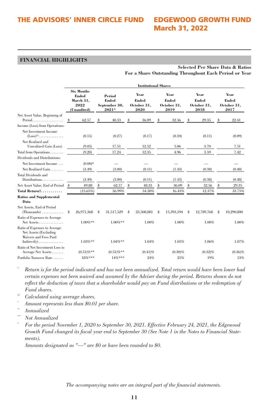#### **FINANCIAL HIGHLIGHTS**

|                                                                                                 |    | <b>Institutional Shares</b>                                    |   |                                           |    |                                      |    |                                      |    |                                      |    |                                      |
|-------------------------------------------------------------------------------------------------|----|----------------------------------------------------------------|---|-------------------------------------------|----|--------------------------------------|----|--------------------------------------|----|--------------------------------------|----|--------------------------------------|
|                                                                                                 |    | <b>Six Months</b><br>Ended<br>March 31,<br>2022<br>(Unaudited) |   | Period<br>Ended<br>September 30,<br>2021^ |    | Year<br>Ended<br>October 31,<br>2020 |    | Year<br>Ended<br>October 31,<br>2019 |    | Year<br>Ended<br>October 31,<br>2018 |    | Year<br>Ended<br>October 31,<br>2017 |
| Net Asset Value, Beginning of<br>Period                                                         | s  | 62.57                                                          | s | 48.33                                     | Ŝ  | 36.09                                | \$ | 32.56                                | 8  | 29.35                                | s  | 22.41                                |
| Income (Loss) from Operations:                                                                  |    |                                                                |   |                                           |    |                                      |    |                                      |    |                                      |    |                                      |
| Net Investment Income<br>$(Loss)^{(1)}$<br>Net Realized and                                     |    | (0.15)                                                         |   | (0.27)                                    |    | (0.17)                               |    | (0.10)                               |    | (0.11)                               |    | (0.09)                               |
| Unrealized Gain (Loss).                                                                         |    | (9.05)                                                         |   | 17.51                                     |    | 12.52                                |    | 5.06                                 |    | 3.70                                 |    | 7.51                                 |
| Total from Operations                                                                           |    | (9.20)                                                         |   | 17.24                                     |    | 12.35                                |    | 4.96                                 |    | 3.59                                 |    | 7.42                                 |
| Dividends and Distributions:                                                                    |    |                                                                |   |                                           |    |                                      |    |                                      |    |                                      |    |                                      |
| Net Investment Income                                                                           |    | $(0.00)*$                                                      |   |                                           |    |                                      |    |                                      |    |                                      |    |                                      |
| Net Realized Gain                                                                               |    | (3.49)                                                         |   | (3.00)                                    |    | (0.11)                               |    | (1.43)                               |    | (0.38)                               |    | (0.48)                               |
| <b>Total Dividends and</b><br>Distributions                                                     |    | (3.49)                                                         |   | (3.00)                                    |    | (0.11)                               |    | (1.43)                               |    | (0.38)                               |    | (0.48)                               |
| Net Asset Value, End of Period                                                                  | s  | 49.88                                                          | S | 62.57                                     | \$ | 48.33                                | \$ | 36.09                                | \$ | 32.56                                | \$ | 29.35                                |
| Total Return†                                                                                   |    | $(15.65\%)$                                                    |   | 36.99%                                    |    | 34.30%                               |    | 16.43%                               |    | 12.37%                               |    | 33.75%                               |
| <b>Ratios and Supplemental</b><br>Data                                                          |    |                                                                |   |                                           |    |                                      |    |                                      |    |                                      |    |                                      |
| Net Assets, End of Period                                                                       | \$ | 26,971,368                                                     | S | 31,517,529                                | \$ | 23,508,881                           | \$ | 15,393,594                           | \$ | 12,789,768                           | s  | 10,290,880                           |
| Ratio of Expenses to Average<br>$Net\,\,Assets$                                                 |    | $1.00\%**$                                                     |   | $1.00\%$ **                               |    | 1.00%                                |    | 1.00%                                |    | 1.00%                                |    | 1.00%                                |
| Ratio of Expenses to Average<br>Net Assets (Excluding<br>Waivers and Fees Paid<br>$Indirectly)$ |    | $1.03\%**$                                                     |   | $1.04\%**$                                |    | 1.04%                                |    | 1.05%                                |    | 1.06%                                |    | 1.07%                                |
| Ratio of Net Investment Loss to                                                                 |    |                                                                |   |                                           |    |                                      |    |                                      |    |                                      |    |                                      |
| Average Net Assets                                                                              |    | $(0.51)\%$ **                                                  |   | $(0.51)\%$ **                             |    | $(0.41)\%$                           |    | $(0.30)\%$                           |    | $(0.32)\%$                           |    | $(0.36)\%$                           |
| Portfolio Turnover Rate                                                                         |    | $18%***$                                                       |   | $14%***$                                  |    | 24%                                  |    | 25%                                  |    | 19%                                  |    | 13%                                  |

**Selected Per Share Data & Ratios For a Share Outstanding Throughout Each Period or Year**

*Return is for the period indicated and has not been annualized. Total return would have been lower had certain expenses not been waived and assumed by the Adviser during the period. Returns shown do not reflect the deduction of taxes that a shareholder would pay on Fund distributions or the redemption of Fund shares.* 

- (1) *Calculated using average shares.*
- \* *Amount represents less than \$0.01 per share.*
- $An nualized$
- $Not$  *Annualized*
- ^ *For the period November 1, 2020 to September 30, 2021. Effective February 24, 2021, the Edgewood Growth Fund changed its fiscal year end to September 30 (See Note 1 in the Notes to Financial Statements).*

*Amounts designated as "—" are \$0 or have been rounded to \$0.*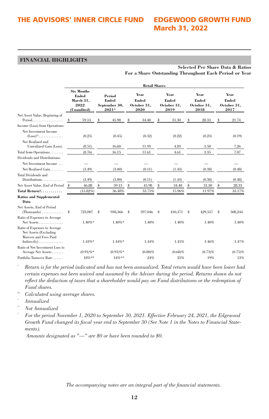#### **FINANCIAL HIGHLIGHTS**

|                                                                                                                             |                                                                |              |   |                                           | <b>Retail Shares</b> |                                      |    |                                      |    |                                      |    |                                      |
|-----------------------------------------------------------------------------------------------------------------------------|----------------------------------------------------------------|--------------|---|-------------------------------------------|----------------------|--------------------------------------|----|--------------------------------------|----|--------------------------------------|----|--------------------------------------|
|                                                                                                                             | <b>Six Months</b><br>Ended<br>March 31,<br>2022<br>(Unaudited) |              |   | Period<br>Ended<br>September 30,<br>2021^ |                      | Year<br>Ended<br>October 31,<br>2020 |    | Year<br>Ended<br>October 31,<br>2019 |    | Year<br>Ended<br>October 31,<br>2018 |    | Year<br>Ended<br>October 31,<br>2017 |
| Net Asset Value, Beginning of<br>Period                                                                                     | s                                                              | 59.13        | Ŝ | 45.98                                     | Ŝ                    | 34.48                                | \$ | 31.30                                | 8  | 28.33                                | s  | 21.74                                |
| Income (Loss) from Operations:                                                                                              |                                                                |              |   |                                           |                      |                                      |    |                                      |    |                                      |    |                                      |
| Net Investment Income<br>$(Loss)^{(1)}$<br>Net Realized and                                                                 |                                                                | (0.25)       |   | (0.45)                                    |                      | (0.32)                               |    | (0.22)                               |    | (0.23)                               |    | (0.19)                               |
| Unrealized Gain (Loss).                                                                                                     |                                                                | (8.51)       |   | 16.60                                     |                      | 11.93                                |    | 4.83                                 |    | 3.58                                 |    | 7.26                                 |
| Total from Operations                                                                                                       |                                                                | (8.76)       |   | 16.15                                     |                      | 11.61                                |    | 4.61                                 |    | 3.35                                 |    | 7.07                                 |
| Dividends and Distributions:                                                                                                |                                                                |              |   |                                           |                      |                                      |    |                                      |    |                                      |    |                                      |
| Net Investment Income                                                                                                       |                                                                |              |   |                                           |                      |                                      |    |                                      |    |                                      |    |                                      |
| Net Realized Gain                                                                                                           |                                                                | (3.49)       |   | (3.00)                                    |                      | (0.11)                               |    | (1.43)                               |    | (0.38)                               |    | (0.48)                               |
| <b>Total Dividends and</b><br>Distributions                                                                                 |                                                                | (3.49)       |   | (3.00)                                    |                      | (0.11)                               |    | (1.43)                               |    | (0.38)                               |    | (0.48)                               |
| Net Asset Value, End of Period                                                                                              | s                                                              | 46.88        | S | 59.13                                     | \$                   | 45.98                                | \$ | 34.48                                | \$ | 31.30                                | \$ | 28.33                                |
| Total Return†                                                                                                               |                                                                | $(15.82\%)$  |   | 36.48%                                    |                      | 33.75%                               |    | 15.96%                               |    | 11.97%                               |    | 33.17%                               |
| <b>Ratios and Supplemental</b><br>Data                                                                                      |                                                                |              |   |                                           |                      |                                      |    |                                      |    |                                      |    |                                      |
| Net Assets, End of Period<br>$(Thomasands) \ldots \ldots \ldots$                                                            | \$                                                             | 723,007      | s | 938,366                                   | \$                   | 597,046                              | \$ | 410,371                              | 8  | 429,537                              | s  | 508,244                              |
| Ratio of Expenses to Average<br>$Net\,\,Assets$                                                                             |                                                                | $1.40\%*$    |   | $1.40\%$ *                                |                      | 1.40%                                |    | 1.40%                                |    | 1.40%                                |    | 1.40%                                |
| Ratio of Expenses to Average<br>Net Assets (Excluding<br>Waivers and Fees Paid<br>$Indirectly) \ldots \ldots \ldots \ldots$ |                                                                | $1.43\%*$    |   | $1.44\%*$                                 |                      | 1.44%                                |    | 1.45%                                |    | 1.46%                                |    | 1.47%                                |
| Ratio of Net Investment Loss to                                                                                             |                                                                |              |   |                                           |                      |                                      |    |                                      |    |                                      |    |                                      |
| Average Net Assets                                                                                                          |                                                                | $(0.91)\%$ * |   | $(0.91)\%$ *                              |                      | $(0.80)\%$                           |    | (0.68)%                              |    | (0.73)%                              |    | (0.75)%                              |
| Portfolio Turnover Rate                                                                                                     |                                                                | $18%***$     |   | $14%$ **                                  |                      | 24%                                  |    | 25%                                  |    | 19%                                  |    | 13%                                  |

**Selected Per Share Data & Ratios For a Share Outstanding Throughout Each Period or Year**

† *Return is for the period indicated and has not been annualized. Total return would have been lower had certain expenses not been waived and assumed by the Adviser during the period. Returns shown do not reflect the deduction of taxes that a shareholder would pay on Fund distributions or the redemption of Fund shares.* 

(1) *Calculated using average shares.* 

\* *Annualized*

^

 $Not$  *Annualized* 

*For the period November 1, 2020 to September 30, 2021. Effective February 24, 2021, the Edgewood Growth Fund changed its fiscal year end to September 30 (See Note 1 in the Notes to Financial Statements).*

 *Amounts designated as "—" are \$0 or have been rounded to \$0.*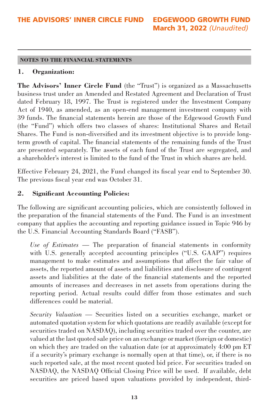#### **NOTES TO THE FINANCIAL STATEMENTS**

#### **1. Organization:**

**The Advisors' Inner Circle Fund** (the "Trust") is organized as a Massachusetts business trust under an Amended and Restated Agreement and Declaration of Trust dated February 18, 1997. The Trust is registered under the Investment Company Act of 1940, as amended, as an open-end management investment company with 39 funds. The financial statements herein are those of the Edgewood Growth Fund (the "Fund") which offers two classes of shares: Institutional Shares and Retail Shares. The Fund is non-diversified and its investment objective is to provide longterm growth of capital. The financial statements of the remaining funds of the Trust are presented separately. The assets of each fund of the Trust are segregated, and a shareholder's interest is limited to the fund of the Trust in which shares are held.

Effective February 24, 2021, the Fund changed its fiscal year end to September 30. The previous fiscal year end was October 31.

#### **2. Significant Accounting Policies:**

The following are significant accounting policies, which are consistently followed in the preparation of the financial statements of the Fund. The Fund is an investment company that applies the accounting and reporting guidance issued in Topic 946 by the U.S. Financial Accounting Standards Board ("FASB").

*Use of Estimates —* The preparation of financial statements in conformity with U.S. generally accepted accounting principles ("U.S. GAAP") requires management to make estimates and assumptions that affect the fair value of assets, the reported amount of assets and liabilities and disclosure of contingent assets and liabilities at the date of the financial statements and the reported amounts of increases and decreases in net assets from operations during the reporting period. Actual results could differ from those estimates and such differences could be material.

*Security Valuation —* Securities listed on a securities exchange, market or automated quotation system for which quotations are readily available (except for securities traded on NASDAQ), including securities traded over the counter, are valued at the last quoted sale price on an exchange or market (foreign or domestic) on which they are traded on the valuation date (or at approximately 4:00 pm ET if a security's primary exchange is normally open at that time), or, if there is no such reported sale, at the most recent quoted bid price. For securities traded on NASDAQ, the NASDAQ Official Closing Price will be used. If available, debt securities are priced based upon valuations provided by independent, third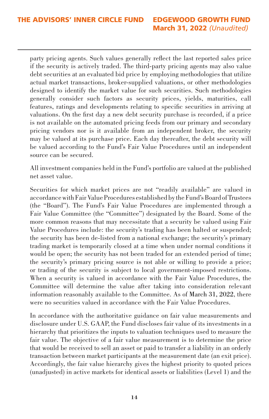party pricing agents. Such values generally reflect the last reported sales price if the security is actively traded. The third-party pricing agents may also value debt securities at an evaluated bid price by employing methodologies that utilize actual market transactions, broker-supplied valuations, or other methodologies designed to identify the market value for such securities. Such methodologies generally consider such factors as security prices, yields, maturities, call features, ratings and developments relating to specific securities in arriving at valuations. On the first day a new debt security purchase is recorded, if a price is not available on the automated pricing feeds from our primary and secondary pricing vendors nor is it available from an independent broker, the security may be valued at its purchase price. Each day thereafter, the debt security will be valued according to the Fund's Fair Value Procedures until an independent source can be secured.

All investment companies held in the Fund's portfolio are valued at the published net asset value.

Securities for which market prices are not "readily available" are valued in accordance with Fair Value Procedures established by the Fund's Board of Trustees (the "Board"). The Fund's Fair Value Procedures are implemented through a Fair Value Committee (the "Committee") designated by the Board. Some of the more common reasons that may necessitate that a security be valued using Fair Value Procedures include: the security's trading has been halted or suspended; the security has been de-listed from a national exchange; the security's primary trading market is temporarily closed at a time when under normal conditions it would be open; the security has not been traded for an extended period of time; the security's primary pricing source is not able or willing to provide a price; or trading of the security is subject to local government-imposed restrictions. When a security is valued in accordance with the Fair Value Procedures, the Committee will determine the value after taking into consideration relevant information reasonably available to the Committee. As of March 31, 2022, there were no securities valued in accordance with the Fair Value Procedures.

In accordance with the authoritative guidance on fair value measurements and disclosure under U.S. GAAP, the Fund discloses fair value of its investments in a hierarchy that prioritizes the inputs to valuation techniques used to measure the fair value. The objective of a fair value measurement is to determine the price that would be received to sell an asset or paid to transfer a liability in an orderly transaction between market participants at the measurement date (an exit price). Accordingly, the fair value hierarchy gives the highest priority to quoted prices (unadjusted) in active markets for identical assets or liabilities (Level 1) and the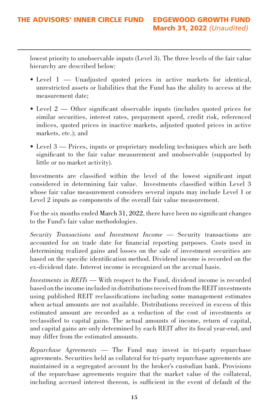lowest priority to unobservable inputs (Level 3). The three levels of the fair value hierarchy are described below:

- Level 1 Unadjusted quoted prices in active markets for identical, unrestricted assets or liabilities that the Fund has the ability to access at the measurement date;
- Level 2 Other significant observable inputs (includes quoted prices for similar securities, interest rates, prepayment speed, credit risk, referenced indices, quoted prices in inactive markets, adjusted quoted prices in active markets, etc.); and
- Level 3 Prices, inputs or proprietary modeling techniques which are both significant to the fair value measurement and unobservable (supported by little or no market activity).

Investments are classified within the level of the lowest significant input considered in determining fair value. Investments classified within Level 3 whose fair value measurement considers several inputs may include Level 1 or Level 2 inputs as components of the overall fair value measurement.

For the six months ended March 31, 2022, there have been no significant changes to the Fund's fair value methodologies.

*Security Transactions and Investment Income —* Security transactions are accounted for on trade date for financial reporting purposes. Costs used in determining realized gains and losses on the sale of investment securities are based on the specific identification method. Dividend income is recorded on the ex-dividend date. Interest income is recognized on the accrual basis.

*Investments in REITs —* With respect to the Fund, dividend income is recorded based on the income included in distributions received from the REIT investments using published REIT reclassifications including some management estimates when actual amounts are not available. Distributions received in excess of this estimated amount are recorded as a reduction of the cost of investments or reclassified to capital gains. The actual amounts of income, return of capital, and capital gains are only determined by each REIT after its fiscal year-end, and may differ from the estimated amounts.

*Repurchase Agreements —* The Fund may invest in tri-party repurchase agreements. Securities held as collateral for tri-party repurchase agreements are maintained in a segregated account by the broker's custodian bank. Provisions of the repurchase agreements require that the market value of the collateral, including accrued interest thereon, is sufficient in the event of default of the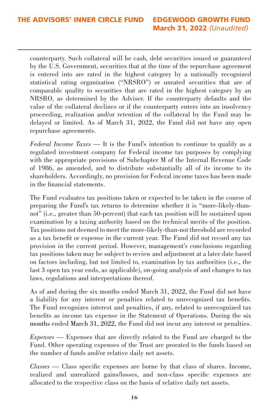counterparty. Such collateral will be cash, debt securities issued or guaranteed by the U.S. Government, securities that at the time of the repurchase agreement is entered into are rated in the highest category by a nationally recognized statistical rating organization ("NRSRO") or unrated securities that are of comparable quality to securities that are rated in the highest category by an NRSRO, as determined by the Adviser. If the counterparty defaults and the value of the collateral declines or if the counterparty enters into an insolvency proceeding, realization and/or retention of the collateral by the Fund may be delayed or limited. As of March 31, 2022, the Fund did not have any open repurchase agreements.

*Federal Income Taxes —* It is the Fund's intention to continue to qualify as a regulated investment company for Federal income tax purposes by complying with the appropriate provisions of Subchapter M of the Internal Revenue Code of 1986, as amended, and to distribute substantially all of its income to its shareholders. Accordingly, no provision for Federal income taxes has been made in the financial statements.

The Fund evaluates tax positions taken or expected to be taken in the course of preparing the Fund's tax returns to determine whether it is "more-likely-thannot" (i.e., greater than 50-percent) that each tax position will be sustained upon examination by a taxing authority based on the technical merits of the position. Tax positions not deemed to meet the more-likely-than-not threshold are recorded as a tax benefit or expense in the current year. The Fund did not record any tax provision in the current period. However, management's conclusions regarding tax positions taken may be subject to review and adjustment at a later date based on factors including, but not limited to, examination by tax authorities (i.e., the last 3 open tax year ends, as applicable), on-going analysis of and changes to tax laws, regulations and interpretations thereof.

As of and during the six months ended March 31, 2022, the Fund did not have a liability for any interest or penalties related to unrecognized tax benefits. The Fund recognizes interest and penalties, if any, related to unrecognized tax benefits as income tax expense in the Statement of Operations. During the six months ended March 31, 2022, the Fund did not incur any interest or penalties.

*Expenses —* Expenses that are directly related to the Fund are charged to the Fund. Other operating expenses of the Trust are prorated to the funds based on the number of funds and/or relative daily net assets.

*Classes —* Class specific expenses are borne by that class of shares. Income, realized and unrealized gains/losses, and non-class specific expenses are allocated to the respective class on the basis of relative daily net assets.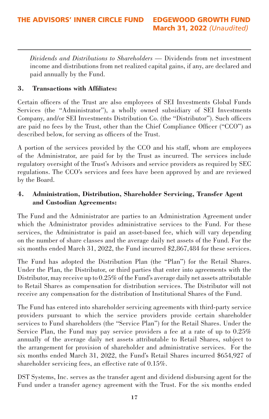*Dividends and Distributions to Shareholders —* Dividends from net investment income and distributions from net realized capital gains, if any, are declared and paid annually by the Fund.

# **3. Transactions with Affiliates:**

Certain officers of the Trust are also employees of SEI Investments Global Funds Services (the "Administrator"), a wholly owned subsidiary of SEI Investments Company, and/or SEI Investments Distribution Co. (the "Distributor"). Such officers are paid no fees by the Trust, other than the Chief Compliance Officer ("CCO") as described below, for serving as officers of the Trust.

A portion of the services provided by the CCO and his staff, whom are employees of the Administrator, are paid for by the Trust as incurred. The services include regulatory oversight of the Trust's Advisors and service providers as required by SEC regulations. The CCO's services and fees have been approved by and are reviewed by the Board.

# **4. Administration, Distribution, Shareholder Servicing, Transfer Agent and Custodian Agreements:**

The Fund and the Administrator are parties to an Administration Agreement under which the Administrator provides administrative services to the Fund. For these services, the Administrator is paid an asset-based fee, which will vary depending on the number of share classes and the average daily net assets of the Fund. For the six months ended March 31, 2022, the Fund incurred \$2,867,484 for these services.

The Fund has adopted the Distribution Plan (the "Plan") for the Retail Shares. Under the Plan, the Distributor, or third parties that enter into agreements with the Distributor, may receive up to 0.25% of the Fund's average daily net assets attributable to Retail Shares as compensation for distribution services. The Distributor will not receive any compensation for the distribution of Institutional Shares of the Fund.

The Fund has entered into shareholder servicing agreements with third-party service providers pursuant to which the service providers provide certain shareholder services to Fund shareholders (the "Service Plan") for the Retail Shares. Under the Service Plan, the Fund may pay service providers a fee at a rate of up to 0.25% annually of the average daily net assets attributable to Retail Shares, subject to the arrangement for provision of shareholder and administrative services. For the six months ended March 31, 2022, the Fund's Retail Shares incurred \$654,927 of shareholder servicing fees, an effective rate of 0.15%.

DST Systems, Inc. serves as the transfer agent and dividend disbursing agent for the Fund under a transfer agency agreement with the Trust. For the six months ended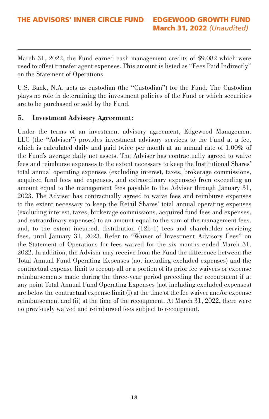March 31, 2022, the Fund earned cash management credits of \$9,082 which were used to offset transfer agent expenses. This amount is listed as "Fees Paid Indirectly" on the Statement of Operations.

U.S. Bank, N.A. acts as custodian (the "Custodian") for the Fund. The Custodian plays no role in determining the investment policies of the Fund or which securities are to be purchased or sold by the Fund.

### **5. Investment Advisory Agreement:**

Under the terms of an investment advisory agreement, Edgewood Management LLC (the "Adviser") provides investment advisory services to the Fund at a fee, which is calculated daily and paid twice per month at an annual rate of 1.00% of the Fund's average daily net assets. The Adviser has contractually agreed to waive fees and reimburse expenses to the extent necessary to keep the Institutional Shares' total annual operating expenses (excluding interest, taxes, brokerage commissions, acquired fund fees and expenses, and extraordinary expenses) from exceeding an amount equal to the management fees payable to the Adviser through January 31, 2023. The Adviser has contractually agreed to waive fees and reimburse expenses to the extent necessary to keep the Retail Shares' total annual operating expenses (excluding interest, taxes, brokerage commissions, acquired fund fees and expenses, and extraordinary expenses) to an amount equal to the sum of the management fees, and, to the extent incurred, distribution (12b-1) fees and shareholder servicing fees, until January 31, 2023. Refer to "Waiver of Investment Advisory Fees" on the Statement of Operations for fees waived for the six months ended March 31, 2022. In addition, the Adviser may receive from the Fund the difference between the Total Annual Fund Operating Expenses (not including excluded expenses) and the contractual expense limit to recoup all or a portion of its prior fee waivers or expense reimbursements made during the three-year period preceding the recoupment if at any point Total Annual Fund Operating Expenses (not including excluded expenses) are below the contractual expense limit (i) at the time of the fee waiver and/or expense reimbursement and (ii) at the time of the recoupment. At March 31, 2022, there were no previously waived and reimbursed fees subject to recoupment.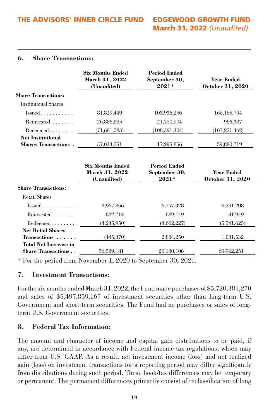#### **6. Share Transactions:**

|                                                           | <b>Six Months Ended</b><br>March 31, 2022<br>(Unaudited) | <b>Period Ended</b><br>September 30,<br>$2021*$ | Year Ended<br>October 31, 2020 |
|-----------------------------------------------------------|----------------------------------------------------------|-------------------------------------------------|--------------------------------|
| <b>Share Transactions:</b>                                |                                                          |                                                 |                                |
| <b>Institutional Shares</b>                               |                                                          |                                                 |                                |
| $Is sued. \ldots \ldots \ldots$                           | 81,829,449                                               | 103,936,256                                     | 166, 165, 794                  |
| Reinvested                                                | 26,886,685                                               | 21,750,904                                      | 966,387                        |
| $Redeemed \ldots \ldots$                                  | (71,681,583)                                             | (108, 391, 304)                                 | (107, 251, 462)                |
| <b>Net Institutional</b><br><b>Shares Transactions.</b>   | 37,034,551                                               | 17,295,856                                      | 59,880,719                     |
|                                                           | <b>Six Months Ended</b><br>March 31, 2022<br>(Unaudited) | <b>Period Ended</b><br>September 30,<br>$2021*$ | Year Ended<br>October 31, 2020 |
| <b>Share Transactions:</b>                                |                                                          |                                                 |                                |
| <b>Retail Shares</b>                                      |                                                          |                                                 |                                |
| $I$ ssued                                                 | 2,967,866                                                | 6,797,328                                       | 6,591,208                      |
| Reinvested                                                | 822,714                                                  | 689,149                                         | 31,949                         |
| $Redeemed \ldots \ldots$                                  | (4,235,950)                                              | (4,602,227)                                     | (5,541,625)                    |
| <b>Net Retail Shares</b>                                  |                                                          |                                                 |                                |
| Transactions                                              | (445,370)                                                | 2,884,250                                       | 1,081,532                      |
| <b>Total Net Increase in</b><br><b>Share Transactions</b> | 36,589,181                                               | 20,180,106                                      | 60,962,251                     |

\* For the period from November 1, 2020 to September 30, 2021.

# **7. Investment Transactions:**

For the six months ended March 31, 2022, the Fund made purchases of \$5,720,381,270 and sales of \$5,497,859,167 of investment securities other than long-term U.S. Government and short-term securities. The Fund had no purchases or sales of longterm U.S. Government securities.

# **8. Federal Tax Information:**

The amount and character of income and capital gain distributions to be paid, if any, are determined in accordance with Federal income tax regulations, which may differ from U.S. GAAP. As a result, net investment income (loss) and net realized gain (loss) on investment transactions for a reporting period may differ significantly from distributions during such period. These book/tax differences may be temporary or permanent. The permanent differences primarily consist of reclassification of long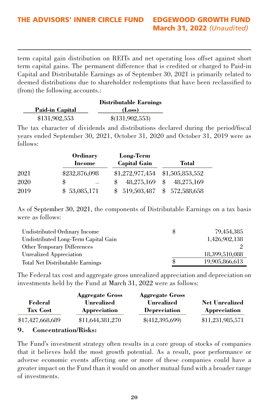term capital gain distribution on REITs and net operating loss offset against short term capital gains. The permanent difference that is credited or charged to Paid-in Capital and Distributable Earnings as of September 30, 2021 is primarily related to deemed distributions due to shareholder redemptions that have been reclassified to (from) the following accounts.:

|                 | <b>Distributable Earnings</b> |
|-----------------|-------------------------------|
| Paid-in Capital | (Loss)                        |
| \$131,902,553   | \$(131,902,553)               |

The tax character of dividends and distributions declared during the period/fiscal years ended September 30, 2021, October 31, 2020 and October 31, 2019 were as follows:

|      | <b>Ordinary</b> | Long-Term           |                  |
|------|-----------------|---------------------|------------------|
|      | Income          | <b>Capital Gain</b> | Total            |
| 2021 | \$232,876,098   | \$1,272,977,454     | \$1,505,853,552  |
| 2020 | \$              | 48.275.169          | 48.275.169<br>\$ |
| 2019 | \$53,085,171    | \$519,503,487       | \$572,588,658    |

As of September 30, 2021, the components of Distributable Earnings on a tax basis were as follows:

| \$ | 79,454,385     |
|----|----------------|
|    | 1.426.902.138  |
|    |                |
|    | 18,399,510,088 |
| Я  | 19,905,866,613 |
|    |                |

The Federal tax cost and aggregate gross unrealized appreciation and depreciation on investments held by the Fund at March 31, 2022 were as follows:

|                            | <b>Aggregate Gross</b>     | <b>Aggregate Gross</b>     |                                       |
|----------------------------|----------------------------|----------------------------|---------------------------------------|
| Federal<br><b>Tax Cost</b> | Unrealized<br>Appreciation | Unrealized<br>Depreciation | <b>Net Unrealized</b><br>Appreciation |
| \$17,427,668,689           | \$11,644,381,270           | \$(412,395,699)            | \$11,231,985,571                      |
|                            |                            |                            |                                       |

#### **9. Concentration/Risks:**

The Fund's investment strategy often results in a core group of stocks of companies that it believes hold the most growth potential. As a result, poor performance or adverse economic events affecting one or more of these companies could have a greater impact on the Fund than it would on another mutual fund with a broader range of investments.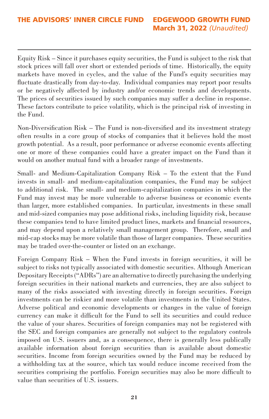Equity Risk – Since it purchases equity securities, the Fund is subject to the risk that stock prices will fall over short or extended periods of time. Historically, the equity markets have moved in cycles, and the value of the Fund's equity securities may fluctuate drastically from day-to-day. Individual companies may report poor results or be negatively affected by industry and/or economic trends and developments. The prices of securities issued by such companies may suffer a decline in response. These factors contribute to price volatility, which is the principal risk of investing in the Fund.

Non-Diversification Risk – The Fund is non-diversified and its investment strategy often results in a core group of stocks of companies that it believes hold the most growth potential. As a result, poor performance or adverse economic events affecting one or more of these companies could have a greater impact on the Fund than it would on another mutual fund with a broader range of investments.

Small- and Medium-Capitalization Company Risk – To the extent that the Fund invests in small- and medium-capitalization companies, the Fund may be subject to additional risk. The small- and medium-capitalization companies in which the Fund may invest may be more vulnerable to adverse business or economic events than larger, more established companies. In particular, investments in these small and mid-sized companies may pose additional risks, including liquidity risk, because these companies tend to have limited product lines, markets and financial resources, and may depend upon a relatively small management group. Therefore, small and mid-cap stocks may be more volatile than those of larger companies. These securities may be traded over-the-counter or listed on an exchange.

Foreign Company Risk – When the Fund invests in foreign securities, it will be subject to risks not typically associated with domestic securities. Although American Depositary Receipts ("ADRs") are an alternative to directly purchasing the underlying foreign securities in their national markets and currencies, they are also subject to many of the risks associated with investing directly in foreign securities. Foreign investments can be riskier and more volatile than investments in the United States. Adverse political and economic developments or changes in the value of foreign currency can make it difficult for the Fund to sell its securities and could reduce the value of your shares. Securities of foreign companies may not be registered with the SEC and foreign companies are generally not subject to the regulatory controls imposed on U.S. issuers and, as a consequence, there is generally less publically available information about foreign securities than is available about domestic securities. Income from foreign securities owned by the Fund may be reduced by a withholding tax at the source, which tax would reduce income received from the securities comprising the portfolio. Foreign securities may also be more difficult to value than securities of U.S. issuers.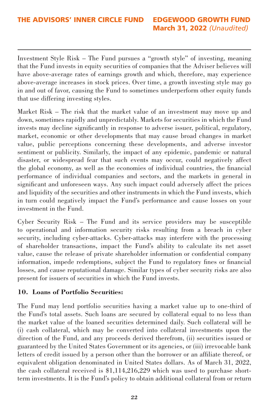Investment Style Risk – The Fund pursues a "growth style" of investing, meaning that the Fund invests in equity securities of companies that the Adviser believes will have above-average rates of earnings growth and which, therefore, may experience above-average increases in stock prices. Over time, a growth investing style may go in and out of favor, causing the Fund to sometimes underperform other equity funds that use differing investing styles.

Market Risk – The risk that the market value of an investment may move up and down, sometimes rapidly and unpredictably. Markets for securities in which the Fund invests may decline significantly in response to adverse issuer, political, regulatory, market, economic or other developments that may cause broad changes in market value, public perceptions concerning these developments, and adverse investor sentiment or publicity. Similarly, the impact of any epidemic, pandemic or natural disaster, or widespread fear that such events may occur, could negatively affect the global economy, as well as the economies of individual countries, the financial performance of individual companies and sectors, and the markets in general in significant and unforeseen ways. Any such impact could adversely affect the prices and liquidity of the securities and other instruments in which the Fund invests, which in turn could negatively impact the Fund's performance and cause losses on your investment in the Fund.

Cyber Security Risk – The Fund and its service providers may be susceptible to operational and information security risks resulting from a breach in cyber security, including cyber-attacks. Cyber-attacks may interfere with the processing of shareholder transactions, impact the Fund's ability to calculate its net asset value, cause the release of private shareholder information or confidential company information, impede redemptions, subject the Fund to regulatory fines or financial losses, and cause reputational damage. Similar types of cyber security risks are also present for issuers of securities in which the Fund invests.

# **10. Loans of Portfolio Securities:**

The Fund may lend portfolio securities having a market value up to one-third of the Fund's total assets. Such loans are secured by collateral equal to no less than the market value of the loaned securities determined daily. Such collateral will be (i) cash collateral, which may be converted into collateral investments upon the direction of the Fund, and any proceeds derived therefrom, (ii) securities issued or guaranteed by the United States Government or its agencies, or (iii) irrevocable bank letters of credit issued by a person other than the borrower or an affiliate thereof, or equivalent obligation denominated in United States dollars. As of March 31, 2022, the cash collateral received is \$1,114,216,229 which was used to purchase shortterm investments. It is the Fund's policy to obtain additional collateral from or return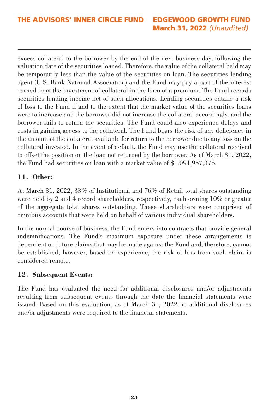excess collateral to the borrower by the end of the next business day, following the valuation date of the securities loaned. Therefore, the value of the collateral held may be temporarily less than the value of the securities on loan. The securities lending agent (U.S. Bank National Association) and the Fund may pay a part of the interest earned from the investment of collateral in the form of a premium. The Fund records securities lending income net of such allocations. Lending securities entails a risk of loss to the Fund if and to the extent that the market value of the securities loans were to increase and the borrower did not increase the collateral accordingly, and the borrower fails to return the securities. The Fund could also experience delays and costs in gaining access to the collateral. The Fund bears the risk of any deficiency in the amount of the collateral available for return to the borrower due to any loss on the collateral invested. In the event of default, the Fund may use the collateral received to offset the position on the loan not returned by the borrower. As of March 31, 2022, the Fund had securities on loan with a market value of \$1,091,957,375.

# **11. Other:**

At March 31, 2022, 33% of Institutional and 76% of Retail total shares outstanding were held by 2 and 4 record shareholders, respectively, each owning 10% or greater of the aggregate total shares outstanding. These shareholders were comprised of omnibus accounts that were held on behalf of various individual shareholders.

In the normal course of business, the Fund enters into contracts that provide general indemnifications. The Fund's maximum exposure under these arrangements is dependent on future claims that may be made against the Fund and, therefore, cannot be established; however, based on experience, the risk of loss from such claim is considered remote.

#### **12. Subsequent Events:**

The Fund has evaluated the need for additional disclosures and/or adjustments resulting from subsequent events through the date the financial statements were issued. Based on this evaluation, as of March 31, 2022 no additional disclosures and/or adjustments were required to the financial statements.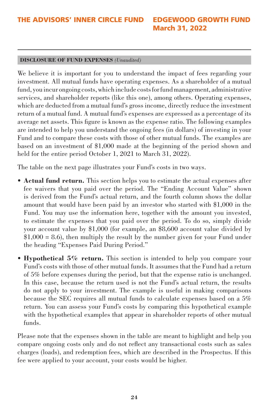#### **DISCLOSURE OF FUND EXPENSES** *(Unaudited)*

We believe it is important for you to understand the impact of fees regarding your investment. All mutual funds have operating expenses. As a shareholder of a mutual fund, you incur ongoing costs, which include costs for fund management, administrative services, and shareholder reports (like this one), among others. Operating expenses, which are deducted from a mutual fund's gross income, directly reduce the investment return of a mutual fund. A mutual fund's expenses are expressed as a percentage of its average net assets. This figure is known as the expense ratio. The following examples are intended to help you understand the ongoing fees (in dollars) of investing in your Fund and to compare these costs with those of other mutual funds. The examples are based on an investment of \$1,000 made at the beginning of the period shown and held for the entire period October 1, 2021 to March 31, 2022).

The table on the next page illustrates your Fund's costs in two ways.

- **Actual fund return.** This section helps you to estimate the actual expenses after fee waivers that you paid over the period. The "Ending Account Value" shown is derived from the Fund's actual return, and the fourth column shows the dollar amount that would have been paid by an investor who started with \$1,000 in the Fund. You may use the information here, together with the amount you invested, to estimate the expenses that you paid over the period. To do so, simply divide your account value by \$1,000 (for example, an \$8,600 account value divided by  $$1,000 = 8.6$ , then multiply the result by the number given for your Fund under the heading "Expenses Paid During Period."
- **Hypothetical 5% return.** This section is intended to help you compare your Fund's costs with those of other mutual funds. It assumes that the Fund had a return of 5% before expenses during the period, but that the expense ratio is unchanged. In this case, because the return used is not the Fund's actual return, the results do not apply to your investment. The example is useful in making comparisons because the SEC requires all mutual funds to calculate expenses based on a 5% return. You can assess your Fund's costs by comparing this hypothetical example with the hypothetical examples that appear in shareholder reports of other mutual funds.

Please note that the expenses shown in the table are meant to highlight and help you compare ongoing costs only and do not reflect any transactional costs such as sales charges (loads), and redemption fees, which are described in the Prospectus. If this fee were applied to your account, your costs would be higher.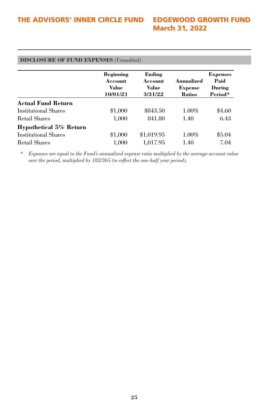| \$843.50   | \$4.60<br>$1.00\%$ |
|------------|--------------------|
| 841.80     | 6.43<br>1.40       |
|            |                    |
| \$1,019.95 | $1.00\%$<br>\$5.04 |
| 1.017.95   | 7.04<br>1.40       |
|            |                    |

*\* Expenses are equal to the Fund's annualized expense ratio multiplied by the average account value over the period, multiplied by 182/365 (to reflect the one-half year period).*

#### **25**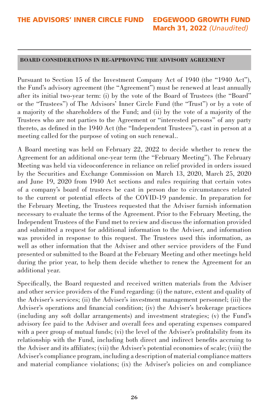#### **BOARD CONSIDERATIONS IN RE-APPROVING THE ADVISORY AGREEMENT**

Pursuant to Section 15 of the Investment Company Act of 1940 (the "1940 Act"), the Fund's advisory agreement (the "Agreement") must be renewed at least annually after its initial two-year term: (i) by the vote of the Board of Trustees (the "Board" or the "Trustees") of The Advisors' Inner Circle Fund (the "Trust") or by a vote of a majority of the shareholders of the Fund; and (ii) by the vote of a majority of the Trustees who are not parties to the Agreement or "interested persons" of any party thereto, as defined in the 1940 Act (the "Independent Trustees"), cast in person at a meeting called for the purpose of voting on such renewal..

A Board meeting was held on February 22, 2022 to decide whether to renew the Agreement for an additional one-year term (the "February Meeting"). The February Meeting was held via videoconference in reliance on relief provided in orders issued by the Securities and Exchange Commission on March 13, 2020, March 25, 2020 and June 19, 2020 from 1940 Act sections and rules requiring that certain votes of a company's board of trustees be cast in person due to circumstances related to the current or potential effects of the COVID-19 pandemic. In preparation for the February Meeting, the Trustees requested that the Adviser furnish information necessary to evaluate the terms of the Agreement. Prior to the February Meeting, the Independent Trustees of the Fund met to review and discuss the information provided and submitted a request for additional information to the Adviser, and information was provided in response to this request. The Trustees used this information, as well as other information that the Adviser and other service providers of the Fund presented or submitted to the Board at the February Meeting and other meetings held during the prior year, to help them decide whether to renew the Agreement for an additional year.

Specifically, the Board requested and received written materials from the Adviser and other service providers of the Fund regarding: (i) the nature, extent and quality of the Adviser's services; (ii) the Adviser's investment management personnel; (iii) the Adviser's operations and financial condition; (iv) the Adviser's brokerage practices (including any soft dollar arrangements) and investment strategies; (v) the Fund's advisory fee paid to the Adviser and overall fees and operating expenses compared with a peer group of mutual funds; (vi) the level of the Adviser's profitability from its relationship with the Fund, including both direct and indirect benefits accruing to the Adviser and its affiliates; (vii) the Adviser's potential economies of scale; (viii) the Adviser's compliance program, including a description of material compliance matters and material compliance violations; (ix) the Adviser's policies on and compliance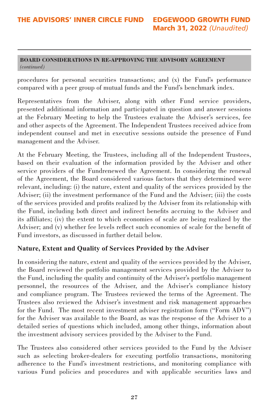#### **BOARD CONSIDERATIONS IN RE-APPROVING THE ADVISORY AGREEMENT**  *(continued)*

procedures for personal securities transactions; and (x) the Fund's performance compared with a peer group of mutual funds and the Fund's benchmark index.

Representatives from the Adviser, along with other Fund service providers, presented additional information and participated in question and answer sessions at the February Meeting to help the Trustees evaluate the Adviser's services, fee and other aspects of the Agreement. The Independent Trustees received advice from independent counsel and met in executive sessions outside the presence of Fund management and the Adviser.

At the February Meeting, the Trustees, including all of the Independent Trustees, based on their evaluation of the information provided by the Adviser and other service providers of the Fundrenewed the Agreement. In considering the renewal of the Agreement, the Board considered various factors that they determined were relevant, including: (i) the nature, extent and quality of the services provided by the Adviser; (ii) the investment performance of the Fund and the Adviser; (iii) the costs of the services provided and profits realized by the Adviser from its relationship with the Fund, including both direct and indirect benefits accruing to the Adviser and its affiliates; (iv) the extent to which economies of scale are being realized by the Adviser; and (v) whether fee levels reflect such economies of scale for the benefit of Fund investors, as discussed in further detail below.

# **Nature, Extent and Quality of Services Provided by the Adviser**

In considering the nature, extent and quality of the services provided by the Adviser, the Board reviewed the portfolio management services provided by the Adviser to the Fund, including the quality and continuity of the Adviser's portfolio management personnel, the resources of the Adviser, and the Adviser's compliance history and compliance program. The Trustees reviewed the terms of the Agreement. The Trustees also reviewed the Adviser's investment and risk management approaches for the Fund. The most recent investment adviser registration form ("Form ADV") for the Adviser was available to the Board, as was the response of the Adviser to a detailed series of questions which included, among other things, information about the investment advisory services provided by the Adviser to the Fund.

The Trustees also considered other services provided to the Fund by the Adviser such as selecting broker-dealers for executing portfolio transactions, monitoring adherence to the Fund's investment restrictions, and monitoring compliance with various Fund policies and procedures and with applicable securities laws and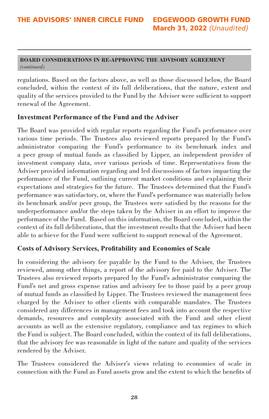#### **BOARD CONSIDERATIONS IN RE-APPROVING THE ADVISORY AGREEMENT**  *(continued)*

regulations. Based on the factors above, as well as those discussed below, the Board concluded, within the context of its full deliberations, that the nature, extent and quality of the services provided to the Fund by the Adviser were sufficient to support renewal of the Agreement.

# **Investment Performance of the Fund and the Adviser**

The Board was provided with regular reports regarding the Fund's performance over various time periods. The Trustees also reviewed reports prepared by the Fund's administrator comparing the Fund's performance to its benchmark index and a peer group of mutual funds as classified by Lipper, an independent provider of investment company data, over various periods of time. Representatives from the Adviser provided information regarding and led discussions of factors impacting the performance of the Fund, outlining current market conditions and explaining their expectations and strategies for the future. The Trustees determined that the Fund's performance was satisfactory, or, where the Fund's performance was materially below its benchmark and/or peer group, the Trustees were satisfied by the reasons for the underperformance and/or the steps taken by the Adviser in an effort to improve the performance of the Fund. Based on this information, the Board concluded, within the context of its full deliberations, that the investment results that the Adviser had been able to achieve for the Fund were sufficient to support renewal of the Agreement.

# **Costs of Advisory Services, Profitability and Economies of Scale**

In considering the advisory fee payable by the Fund to the Adviser, the Trustees reviewed, among other things, a report of the advisory fee paid to the Adviser. The Trustees also reviewed reports prepared by the Fund's administrator comparing the Fund's net and gross expense ratios and advisory fee to those paid by a peer group of mutual funds as classified by Lipper. The Trustees reviewed the management fees charged by the Adviser to other clients with comparable mandates. The Trustees considered any differences in management fees and took into account the respective demands, resources and complexity associated with the Fund and other client accounts as well as the extensive regulatory, compliance and tax regimes to which the Fund is subject. The Board concluded, within the context of its full deliberations, that the advisory fee was reasonable in light of the nature and quality of the services rendered by the Adviser.

The Trustees considered the Adviser's views relating to economies of scale in connection with the Fund as Fund assets grow and the extent to which the benefits of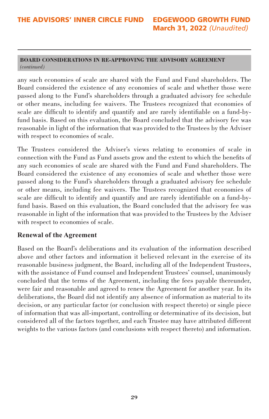#### **BOARD CONSIDERATIONS IN RE-APPROVING THE ADVISORY AGREEMENT**  *(continued)*

any such economies of scale are shared with the Fund and Fund shareholders. The Board considered the existence of any economies of scale and whether those were passed along to the Fund's shareholders through a graduated advisory fee schedule or other means, including fee waivers. The Trustees recognized that economies of scale are difficult to identify and quantify and are rarely identifiable on a fund-byfund basis. Based on this evaluation, the Board concluded that the advisory fee was reasonable in light of the information that was provided to the Trustees by the Adviser with respect to economies of scale.

The Trustees considered the Adviser's views relating to economies of scale in connection with the Fund as Fund assets grow and the extent to which the benefits of any such economies of scale are shared with the Fund and Fund shareholders. The Board considered the existence of any economies of scale and whether those were passed along to the Fund's shareholders through a graduated advisory fee schedule or other means, including fee waivers. The Trustees recognized that economies of scale are difficult to identify and quantify and are rarely identifiable on a fund-byfund basis. Based on this evaluation, the Board concluded that the advisory fee was reasonable in light of the information that was provided to the Trustees by the Adviser with respect to economies of scale.

# **Renewal of the Agreement**

Based on the Board's deliberations and its evaluation of the information described above and other factors and information it believed relevant in the exercise of its reasonable business judgment, the Board, including all of the Independent Trustees, with the assistance of Fund counsel and Independent Trustees' counsel, unanimously concluded that the terms of the Agreement, including the fees payable thereunder, were fair and reasonable and agreed to renew the Agreement for another year. In its deliberations, the Board did not identify any absence of information as material to its decision, or any particular factor (or conclusion with respect thereto) or single piece of information that was all-important, controlling or determinative of its decision, but considered all of the factors together, and each Trustee may have attributed different weights to the various factors (and conclusions with respect thereto) and information.